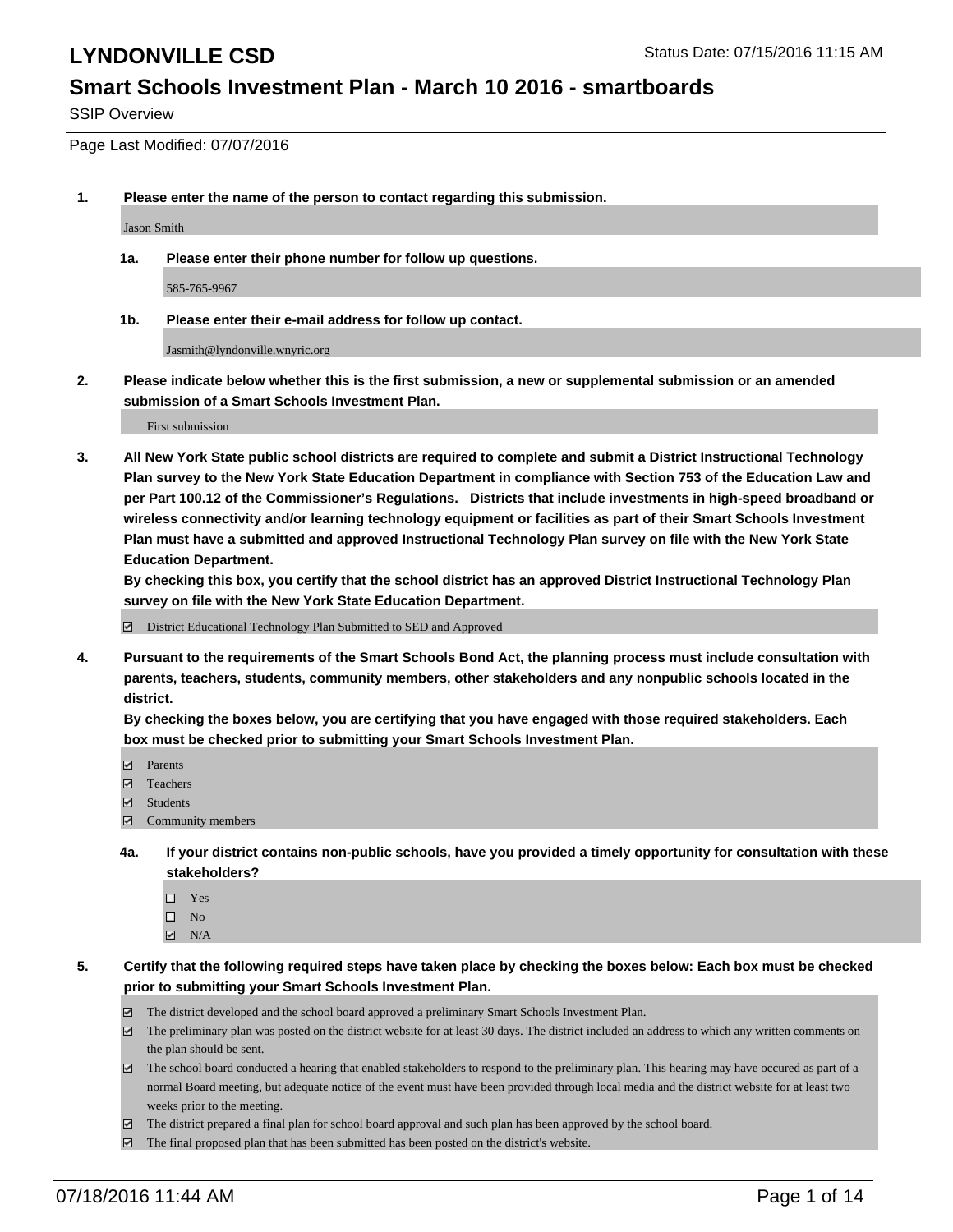#### **Smart Schools Investment Plan - March 10 2016 - smartboards**

SSIP Overview

Page Last Modified: 07/07/2016

**1. Please enter the name of the person to contact regarding this submission.**

Jason Smith

**1a. Please enter their phone number for follow up questions.**

585-765-9967

**1b. Please enter their e-mail address for follow up contact.**

Jasmith@lyndonville.wnyric.org

**2. Please indicate below whether this is the first submission, a new or supplemental submission or an amended submission of a Smart Schools Investment Plan.**

First submission

**3. All New York State public school districts are required to complete and submit a District Instructional Technology Plan survey to the New York State Education Department in compliance with Section 753 of the Education Law and per Part 100.12 of the Commissioner's Regulations. Districts that include investments in high-speed broadband or wireless connectivity and/or learning technology equipment or facilities as part of their Smart Schools Investment Plan must have a submitted and approved Instructional Technology Plan survey on file with the New York State Education Department.** 

**By checking this box, you certify that the school district has an approved District Instructional Technology Plan survey on file with the New York State Education Department.**

District Educational Technology Plan Submitted to SED and Approved

**4. Pursuant to the requirements of the Smart Schools Bond Act, the planning process must include consultation with parents, teachers, students, community members, other stakeholders and any nonpublic schools located in the district.** 

**By checking the boxes below, you are certifying that you have engaged with those required stakeholders. Each box must be checked prior to submitting your Smart Schools Investment Plan.**

- **Parents**
- Teachers
- $\blacksquare$  Students
- Community members
- **4a. If your district contains non-public schools, have you provided a timely opportunity for consultation with these stakeholders?**
	- $\Box$  Yes  $\square$  No
	- $\boxtimes$  N/A
- **5. Certify that the following required steps have taken place by checking the boxes below: Each box must be checked prior to submitting your Smart Schools Investment Plan.**
	- The district developed and the school board approved a preliminary Smart Schools Investment Plan.
	- $\boxdot$  The preliminary plan was posted on the district website for at least 30 days. The district included an address to which any written comments on the plan should be sent.
	- $\Box$  The school board conducted a hearing that enabled stakeholders to respond to the preliminary plan. This hearing may have occured as part of a normal Board meeting, but adequate notice of the event must have been provided through local media and the district website for at least two weeks prior to the meeting.
	- The district prepared a final plan for school board approval and such plan has been approved by the school board.
	- $\boxdot$  The final proposed plan that has been submitted has been posted on the district's website.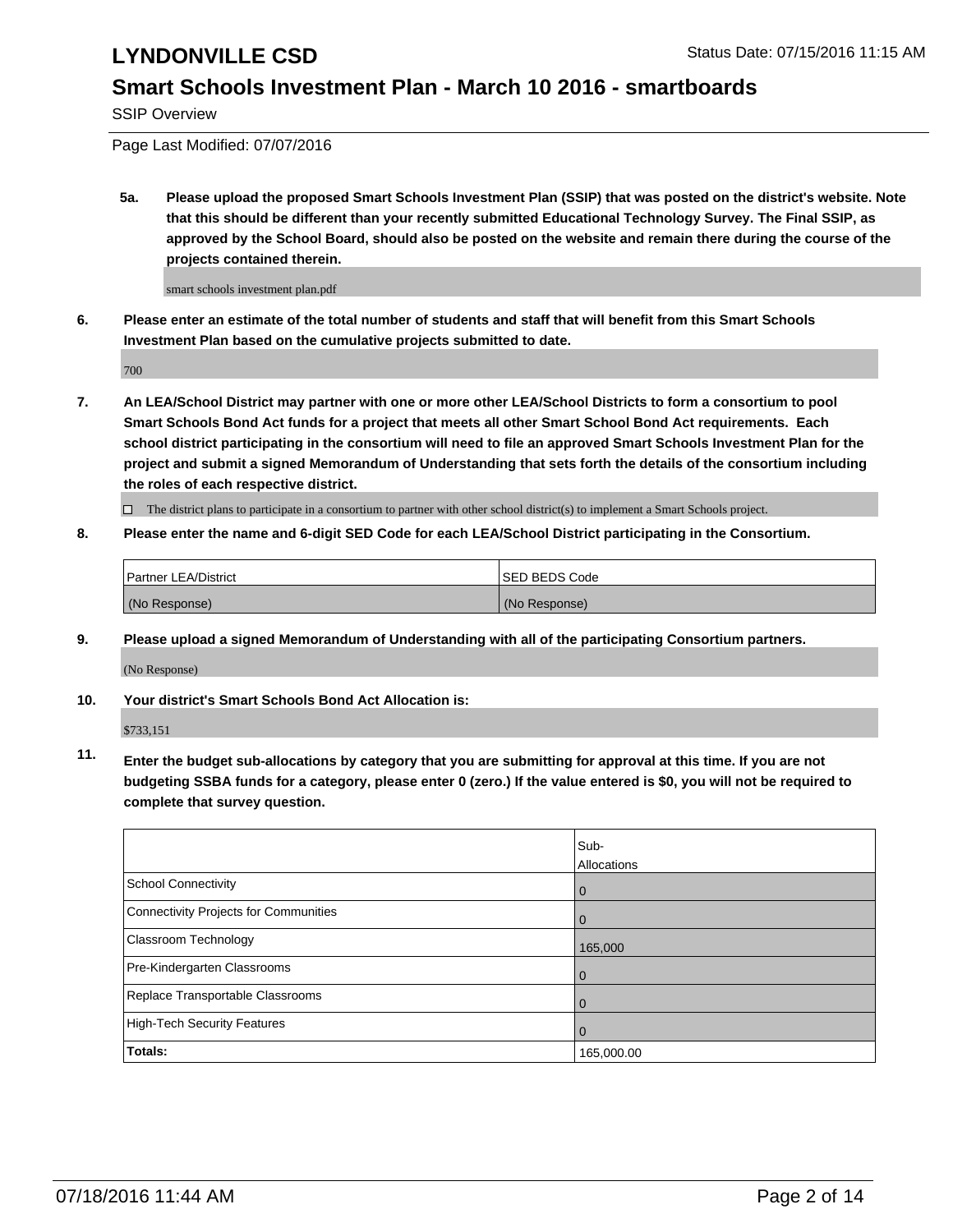#### **Smart Schools Investment Plan - March 10 2016 - smartboards**

SSIP Overview

Page Last Modified: 07/07/2016

**5a. Please upload the proposed Smart Schools Investment Plan (SSIP) that was posted on the district's website. Note that this should be different than your recently submitted Educational Technology Survey. The Final SSIP, as approved by the School Board, should also be posted on the website and remain there during the course of the projects contained therein.**

smart schools investment plan.pdf

**6. Please enter an estimate of the total number of students and staff that will benefit from this Smart Schools Investment Plan based on the cumulative projects submitted to date.**

700

**7. An LEA/School District may partner with one or more other LEA/School Districts to form a consortium to pool Smart Schools Bond Act funds for a project that meets all other Smart School Bond Act requirements. Each school district participating in the consortium will need to file an approved Smart Schools Investment Plan for the project and submit a signed Memorandum of Understanding that sets forth the details of the consortium including the roles of each respective district.**

 $\Box$  The district plans to participate in a consortium to partner with other school district(s) to implement a Smart Schools project.

#### **8. Please enter the name and 6-digit SED Code for each LEA/School District participating in the Consortium.**

| <b>Partner LEA/District</b> | <b>ISED BEDS Code</b> |
|-----------------------------|-----------------------|
| (No Response)               | (No Response)         |

**9. Please upload a signed Memorandum of Understanding with all of the participating Consortium partners.**

(No Response)

**10. Your district's Smart Schools Bond Act Allocation is:**

\$733,151

**11. Enter the budget sub-allocations by category that you are submitting for approval at this time. If you are not budgeting SSBA funds for a category, please enter 0 (zero.) If the value entered is \$0, you will not be required to complete that survey question.**

|                                       | Sub-        |
|---------------------------------------|-------------|
|                                       | Allocations |
| School Connectivity                   | 0           |
| Connectivity Projects for Communities | 0           |
| Classroom Technology                  | 165,000     |
| Pre-Kindergarten Classrooms           | O           |
| Replace Transportable Classrooms      |             |
| High-Tech Security Features           |             |
| Totals:                               | 165,000.00  |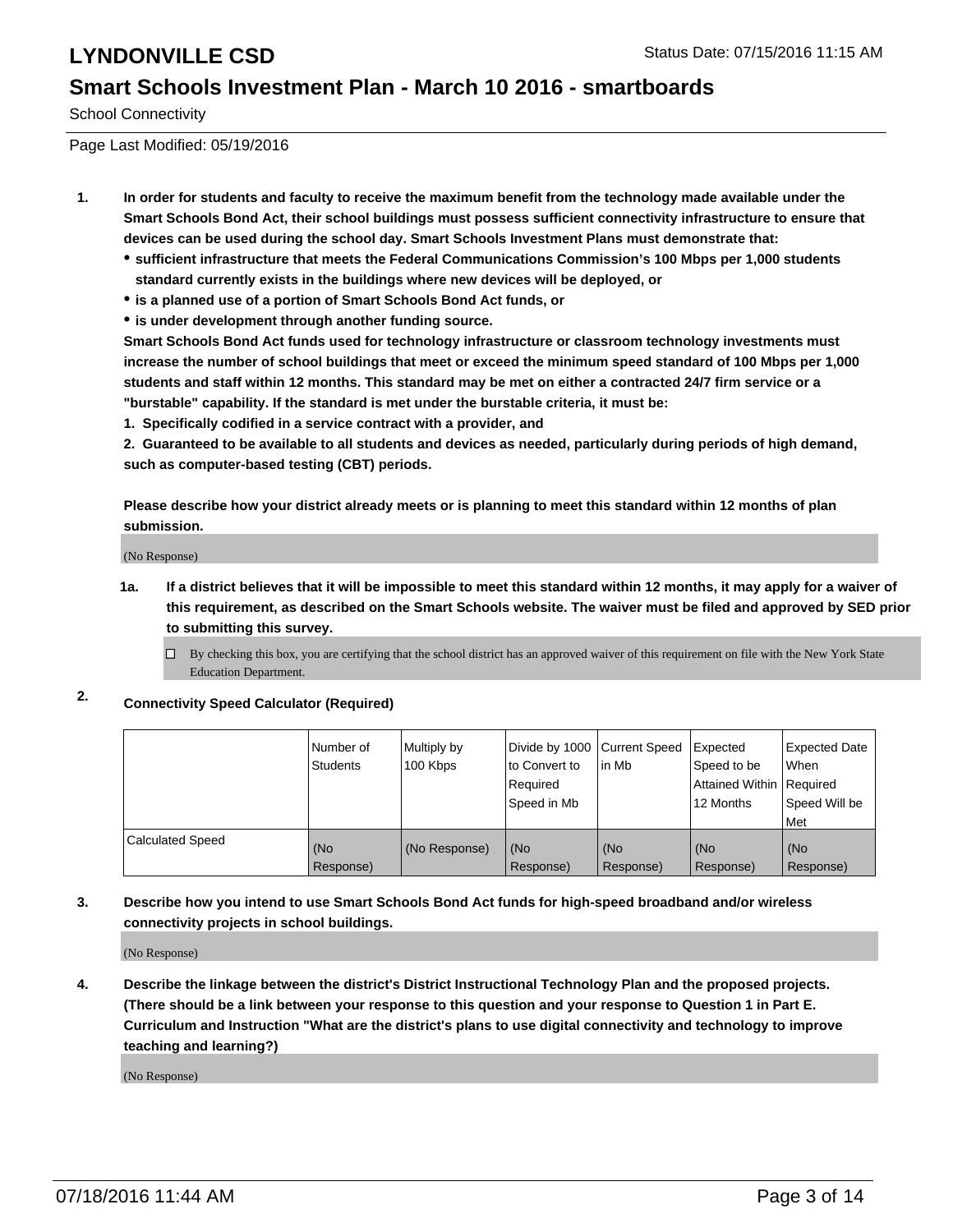#### **Smart Schools Investment Plan - March 10 2016 - smartboards**

School Connectivity

Page Last Modified: 05/19/2016

- **1. In order for students and faculty to receive the maximum benefit from the technology made available under the Smart Schools Bond Act, their school buildings must possess sufficient connectivity infrastructure to ensure that devices can be used during the school day. Smart Schools Investment Plans must demonstrate that:**
	- **sufficient infrastructure that meets the Federal Communications Commission's 100 Mbps per 1,000 students standard currently exists in the buildings where new devices will be deployed, or**
	- **is a planned use of a portion of Smart Schools Bond Act funds, or**
	- **is under development through another funding source.**

**Smart Schools Bond Act funds used for technology infrastructure or classroom technology investments must increase the number of school buildings that meet or exceed the minimum speed standard of 100 Mbps per 1,000 students and staff within 12 months. This standard may be met on either a contracted 24/7 firm service or a "burstable" capability. If the standard is met under the burstable criteria, it must be:**

**1. Specifically codified in a service contract with a provider, and**

**2. Guaranteed to be available to all students and devices as needed, particularly during periods of high demand, such as computer-based testing (CBT) periods.**

**Please describe how your district already meets or is planning to meet this standard within 12 months of plan submission.**

(No Response)

- **1a. If a district believes that it will be impossible to meet this standard within 12 months, it may apply for a waiver of this requirement, as described on the Smart Schools website. The waiver must be filed and approved by SED prior to submitting this survey.**
	- $\Box$  By checking this box, you are certifying that the school district has an approved waiver of this requirement on file with the New York State Education Department.
- **2. Connectivity Speed Calculator (Required)**

|                         | l Number of<br>Students | Multiply by<br>100 Kbps | Divide by 1000 Current Speed<br>lto Convert to<br>Reauired<br>Speed in Mb | lin Mb           | Expected<br>Speed to be<br>Attained Within   Required<br>12 Months | <b>Expected Date</b><br><b>When</b><br>Speed Will be<br>l Met |
|-------------------------|-------------------------|-------------------------|---------------------------------------------------------------------------|------------------|--------------------------------------------------------------------|---------------------------------------------------------------|
| <b>Calculated Speed</b> | (No<br>Response)        | (No Response)           | (No<br>Response)                                                          | (No<br>Response) | (No<br>Response)                                                   | l (No<br>Response)                                            |

#### **3. Describe how you intend to use Smart Schools Bond Act funds for high-speed broadband and/or wireless connectivity projects in school buildings.**

(No Response)

**4. Describe the linkage between the district's District Instructional Technology Plan and the proposed projects. (There should be a link between your response to this question and your response to Question 1 in Part E. Curriculum and Instruction "What are the district's plans to use digital connectivity and technology to improve teaching and learning?)**

(No Response)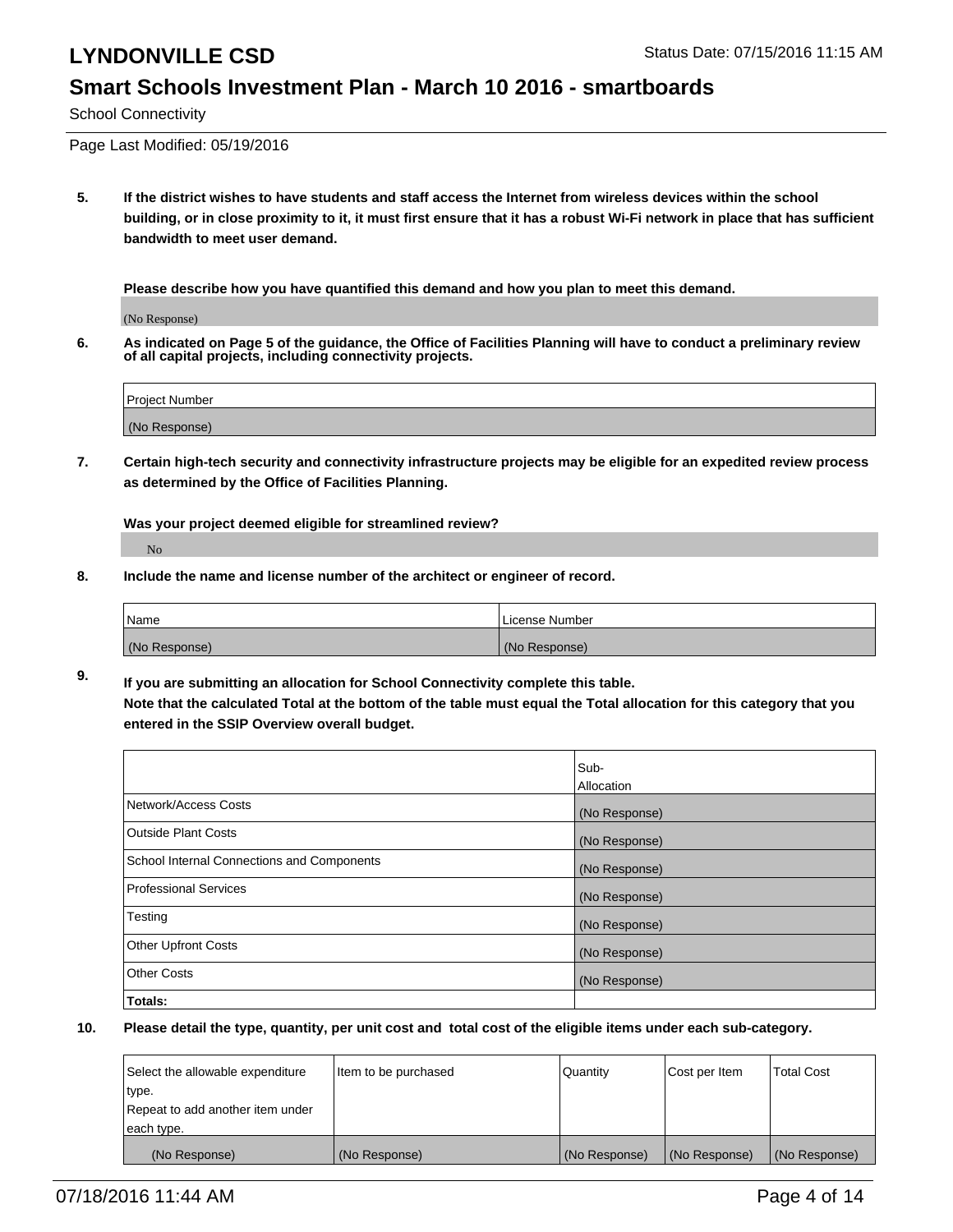#### **Smart Schools Investment Plan - March 10 2016 - smartboards**

School Connectivity

Page Last Modified: 05/19/2016

**5. If the district wishes to have students and staff access the Internet from wireless devices within the school building, or in close proximity to it, it must first ensure that it has a robust Wi-Fi network in place that has sufficient bandwidth to meet user demand.**

**Please describe how you have quantified this demand and how you plan to meet this demand.**

(No Response)

**6. As indicated on Page 5 of the guidance, the Office of Facilities Planning will have to conduct a preliminary review of all capital projects, including connectivity projects.**

| Project Number |  |
|----------------|--|
| (No Response)  |  |

**7. Certain high-tech security and connectivity infrastructure projects may be eligible for an expedited review process as determined by the Office of Facilities Planning.**

**Was your project deemed eligible for streamlined review?**

No

**8. Include the name and license number of the architect or engineer of record.**

| <b>Name</b>   | License Number |
|---------------|----------------|
| (No Response) | (No Response)  |

**9. If you are submitting an allocation for School Connectivity complete this table. Note that the calculated Total at the bottom of the table must equal the Total allocation for this category that you entered in the SSIP Overview overall budget.** 

|                                            | Sub-          |
|--------------------------------------------|---------------|
|                                            | Allocation    |
| Network/Access Costs                       | (No Response) |
| <b>Outside Plant Costs</b>                 | (No Response) |
| School Internal Connections and Components | (No Response) |
| Professional Services                      | (No Response) |
| Testing                                    | (No Response) |
| <b>Other Upfront Costs</b>                 | (No Response) |
| <b>Other Costs</b>                         | (No Response) |
| Totals:                                    |               |

| Select the allowable expenditure | litem to be purchased | Quantity      | Cost per Item | <b>Total Cost</b> |
|----------------------------------|-----------------------|---------------|---------------|-------------------|
| type.                            |                       |               |               |                   |
| Repeat to add another item under |                       |               |               |                   |
| each type.                       |                       |               |               |                   |
| (No Response)                    | (No Response)         | (No Response) | (No Response) | (No Response)     |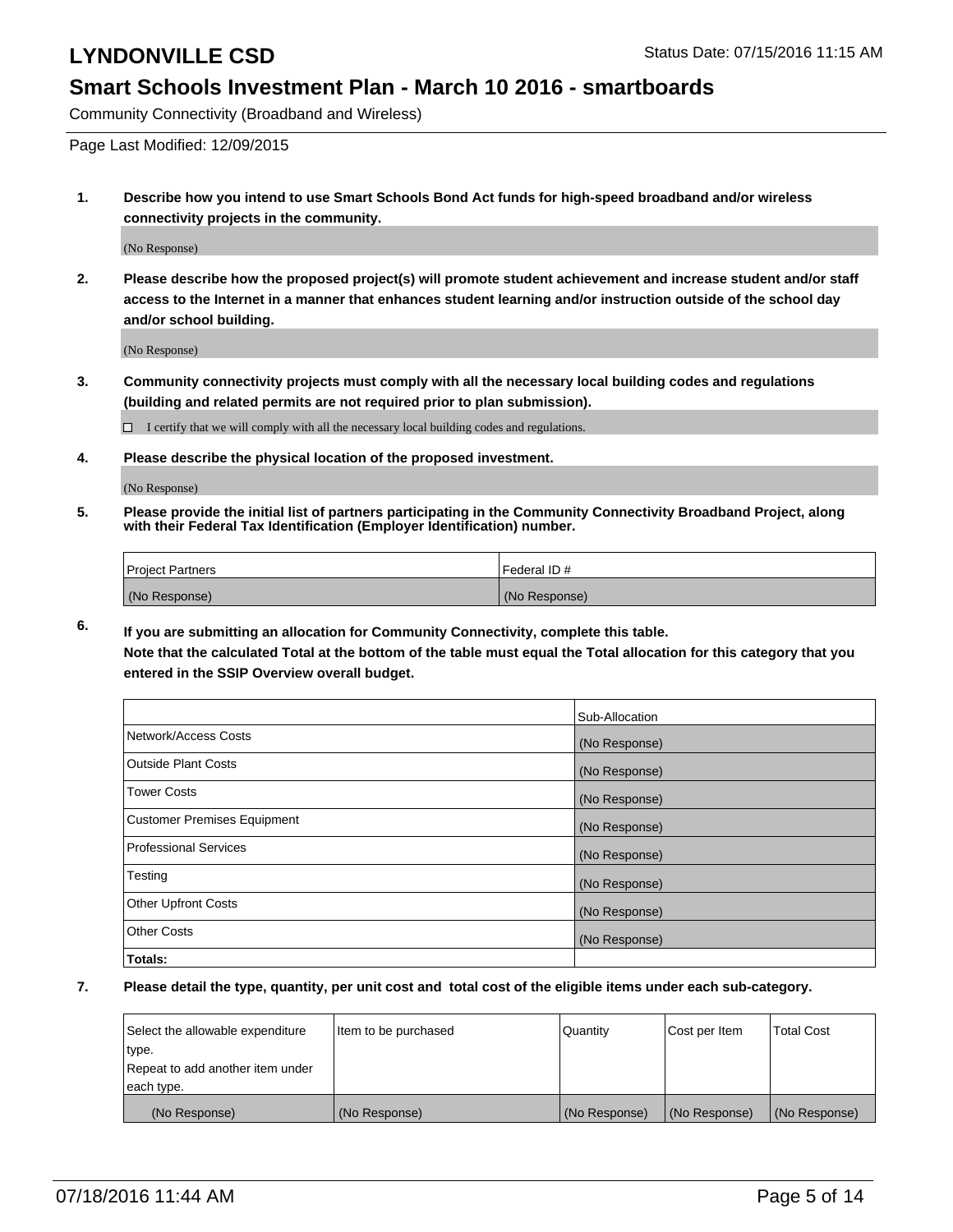#### **Smart Schools Investment Plan - March 10 2016 - smartboards**

Community Connectivity (Broadband and Wireless)

Page Last Modified: 12/09/2015

**1. Describe how you intend to use Smart Schools Bond Act funds for high-speed broadband and/or wireless connectivity projects in the community.**

(No Response)

**2. Please describe how the proposed project(s) will promote student achievement and increase student and/or staff access to the Internet in a manner that enhances student learning and/or instruction outside of the school day and/or school building.**

(No Response)

**3. Community connectivity projects must comply with all the necessary local building codes and regulations (building and related permits are not required prior to plan submission).**

 $\Box$  I certify that we will comply with all the necessary local building codes and regulations.

**4. Please describe the physical location of the proposed investment.**

(No Response)

**5. Please provide the initial list of partners participating in the Community Connectivity Broadband Project, along with their Federal Tax Identification (Employer Identification) number.**

| Project Partners | <b>IFederal ID#</b> |
|------------------|---------------------|
| (No Response)    | (No Response)       |

**6. If you are submitting an allocation for Community Connectivity, complete this table. Note that the calculated Total at the bottom of the table must equal the Total allocation for this category that you**

**entered in the SSIP Overview overall budget.**

|                             | Sub-Allocation |
|-----------------------------|----------------|
| Network/Access Costs        | (No Response)  |
| <b>Outside Plant Costs</b>  | (No Response)  |
| Tower Costs                 | (No Response)  |
| Customer Premises Equipment | (No Response)  |
| Professional Services       | (No Response)  |
| Testing                     | (No Response)  |
| <b>Other Upfront Costs</b>  | (No Response)  |
| Other Costs                 | (No Response)  |
| Totals:                     |                |

| Select the allowable expenditure | Item to be purchased | Quantity      | Cost per Item | <b>Total Cost</b> |
|----------------------------------|----------------------|---------------|---------------|-------------------|
| type.                            |                      |               |               |                   |
| Repeat to add another item under |                      |               |               |                   |
| each type.                       |                      |               |               |                   |
| (No Response)                    | (No Response)        | (No Response) | (No Response) | (No Response)     |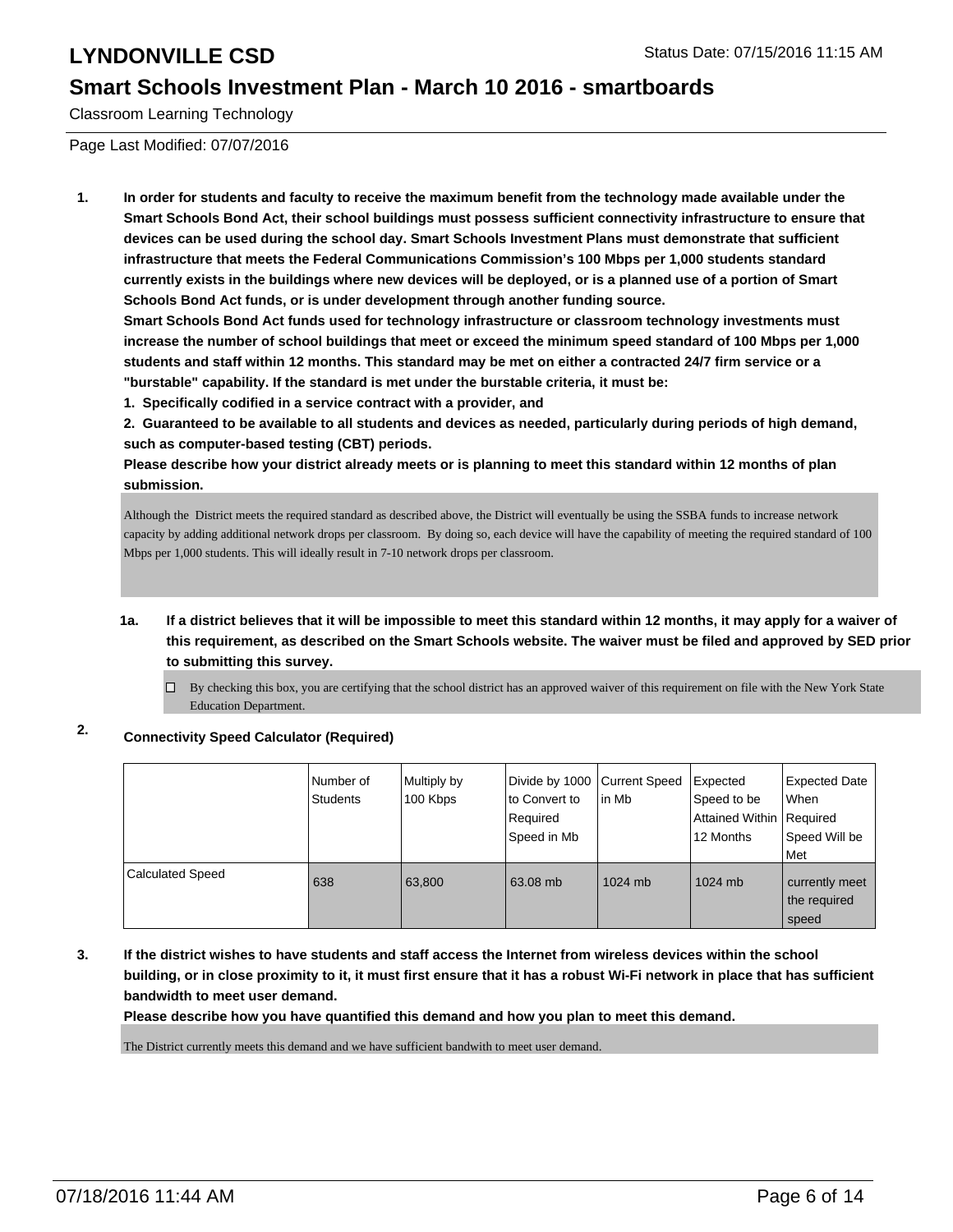#### **Smart Schools Investment Plan - March 10 2016 - smartboards**

Classroom Learning Technology

Page Last Modified: 07/07/2016

**1. In order for students and faculty to receive the maximum benefit from the technology made available under the Smart Schools Bond Act, their school buildings must possess sufficient connectivity infrastructure to ensure that devices can be used during the school day. Smart Schools Investment Plans must demonstrate that sufficient infrastructure that meets the Federal Communications Commission's 100 Mbps per 1,000 students standard currently exists in the buildings where new devices will be deployed, or is a planned use of a portion of Smart Schools Bond Act funds, or is under development through another funding source.**

**Smart Schools Bond Act funds used for technology infrastructure or classroom technology investments must increase the number of school buildings that meet or exceed the minimum speed standard of 100 Mbps per 1,000 students and staff within 12 months. This standard may be met on either a contracted 24/7 firm service or a "burstable" capability. If the standard is met under the burstable criteria, it must be:**

**1. Specifically codified in a service contract with a provider, and**

**2. Guaranteed to be available to all students and devices as needed, particularly during periods of high demand, such as computer-based testing (CBT) periods.**

**Please describe how your district already meets or is planning to meet this standard within 12 months of plan submission.**

Although the District meets the required standard as described above, the District will eventually be using the SSBA funds to increase network capacity by adding additional network drops per classroom. By doing so, each device will have the capability of meeting the required standard of 100 Mbps per 1,000 students. This will ideally result in 7-10 network drops per classroom.

**1a. If a district believes that it will be impossible to meet this standard within 12 months, it may apply for a waiver of this requirement, as described on the Smart Schools website. The waiver must be filed and approved by SED prior to submitting this survey.**

 $\Box$  By checking this box, you are certifying that the school district has an approved waiver of this requirement on file with the New York State Education Department.

#### **2. Connectivity Speed Calculator (Required)**

|                         | Number of<br><b>Students</b> | Multiply by<br>100 Kbps | Divide by 1000 Current Speed<br>lto Convert to<br>Required<br>Speed in Mb | in Mb   | Expected<br>Speed to be<br>Attained Within   Required<br>12 Months | <b>Expected Date</b><br><b>When</b><br>Speed Will be<br>Met |
|-------------------------|------------------------------|-------------------------|---------------------------------------------------------------------------|---------|--------------------------------------------------------------------|-------------------------------------------------------------|
| <b>Calculated Speed</b> | 638                          | 63.800                  | 63.08 mb                                                                  | 1024 mb | 1024 mb                                                            | currently meet<br>the required<br>speed                     |

**3. If the district wishes to have students and staff access the Internet from wireless devices within the school building, or in close proximity to it, it must first ensure that it has a robust Wi-Fi network in place that has sufficient bandwidth to meet user demand.**

**Please describe how you have quantified this demand and how you plan to meet this demand.**

The District currently meets this demand and we have sufficient bandwith to meet user demand.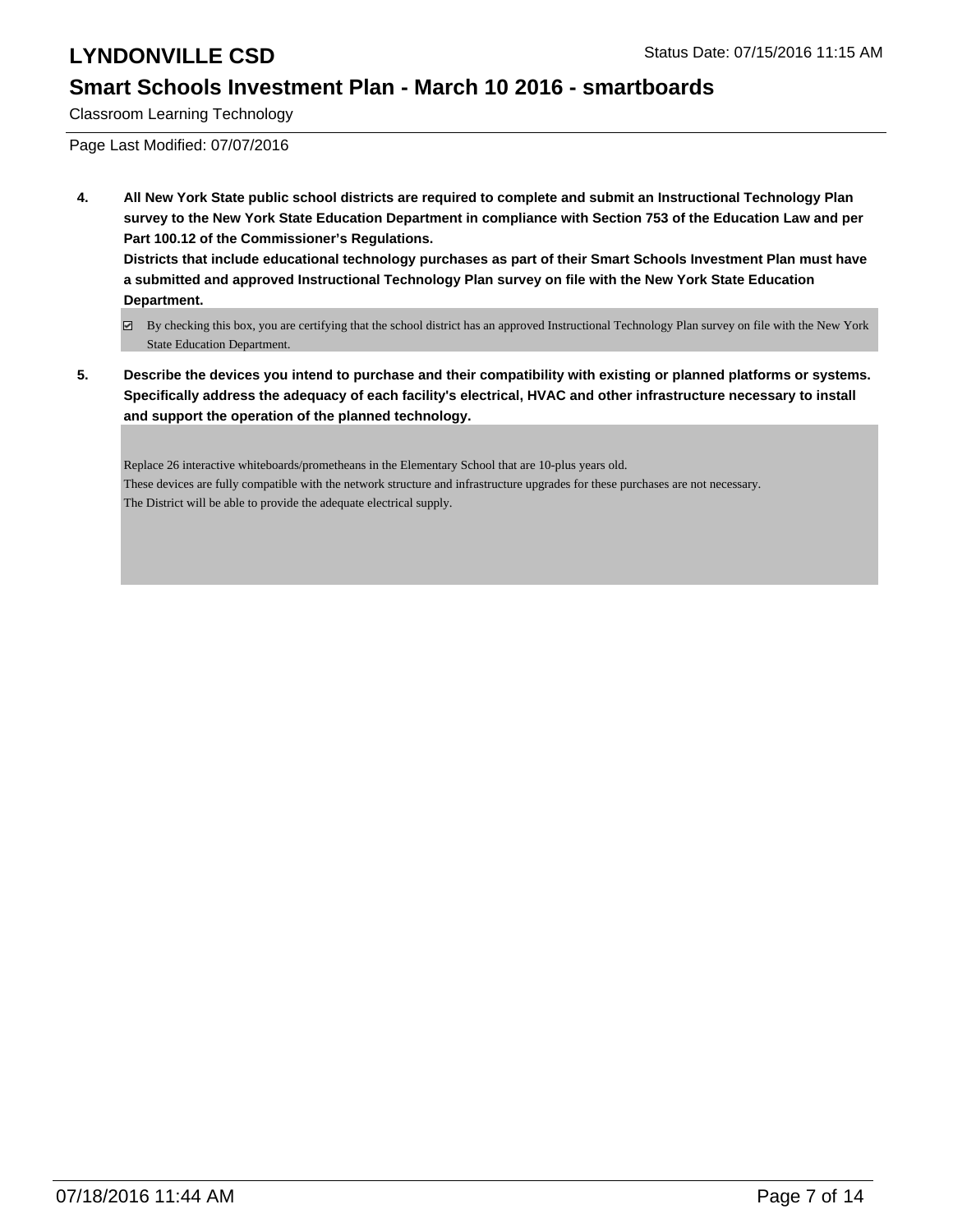#### **Smart Schools Investment Plan - March 10 2016 - smartboards**

Classroom Learning Technology

Page Last Modified: 07/07/2016

**4. All New York State public school districts are required to complete and submit an Instructional Technology Plan survey to the New York State Education Department in compliance with Section 753 of the Education Law and per Part 100.12 of the Commissioner's Regulations. Districts that include educational technology purchases as part of their Smart Schools Investment Plan must have**

**a submitted and approved Instructional Technology Plan survey on file with the New York State Education Department.**

**5. Describe the devices you intend to purchase and their compatibility with existing or planned platforms or systems. Specifically address the adequacy of each facility's electrical, HVAC and other infrastructure necessary to install and support the operation of the planned technology.**

Replace 26 interactive whiteboards/prometheans in the Elementary School that are 10-plus years old. These devices are fully compatible with the network structure and infrastructure upgrades for these purchases are not necessary. The District will be able to provide the adequate electrical supply.

By checking this box, you are certifying that the school district has an approved Instructional Technology Plan survey on file with the New York State Education Department.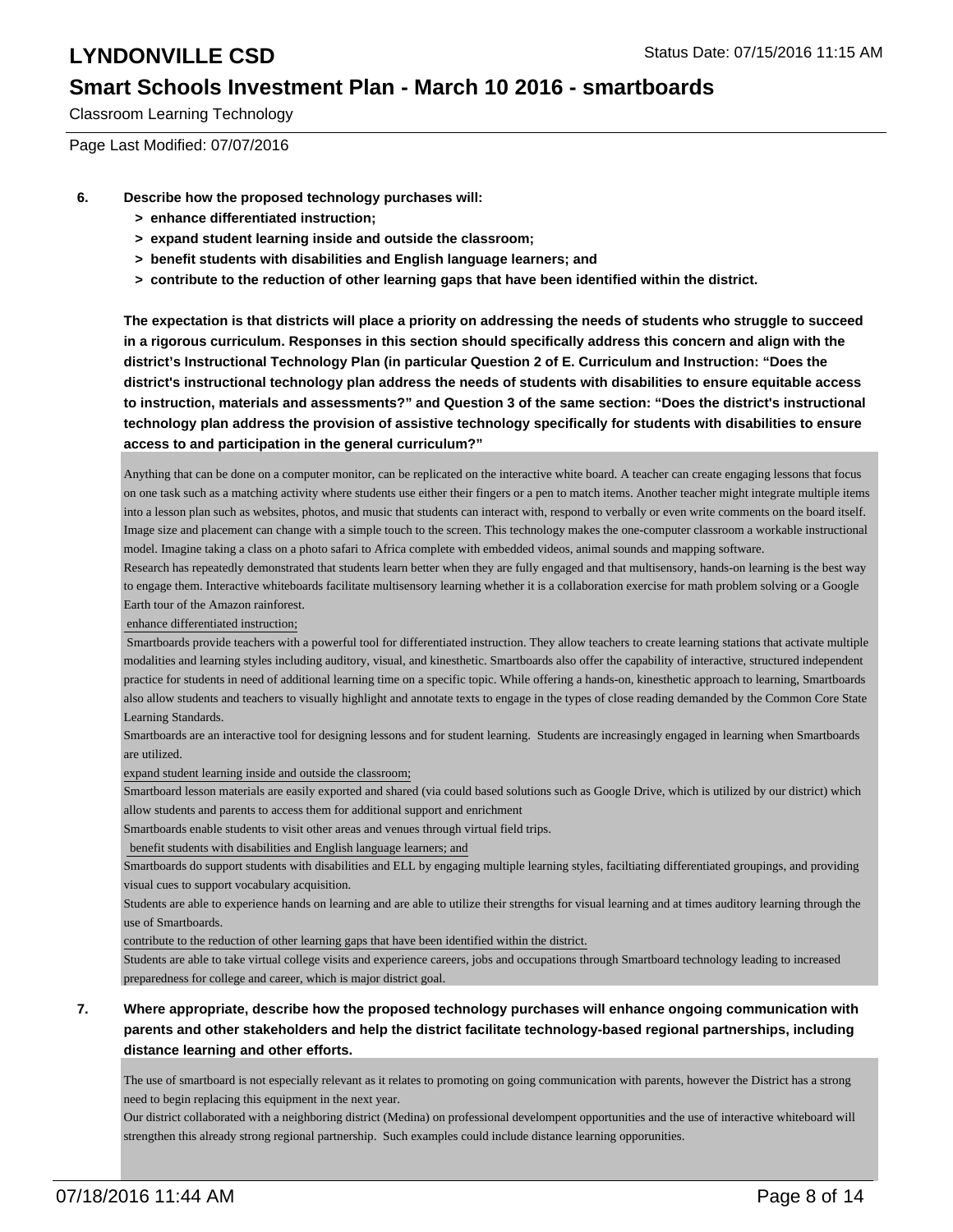#### **Smart Schools Investment Plan - March 10 2016 - smartboards**

Classroom Learning Technology

Page Last Modified: 07/07/2016

- **6. Describe how the proposed technology purchases will:**
	- **> enhance differentiated instruction;**
	- **> expand student learning inside and outside the classroom;**
	- **> benefit students with disabilities and English language learners; and**
	- **> contribute to the reduction of other learning gaps that have been identified within the district.**

**The expectation is that districts will place a priority on addressing the needs of students who struggle to succeed in a rigorous curriculum. Responses in this section should specifically address this concern and align with the district's Instructional Technology Plan (in particular Question 2 of E. Curriculum and Instruction: "Does the district's instructional technology plan address the needs of students with disabilities to ensure equitable access to instruction, materials and assessments?" and Question 3 of the same section: "Does the district's instructional technology plan address the provision of assistive technology specifically for students with disabilities to ensure access to and participation in the general curriculum?"**

Anything that can be done on a computer monitor, can be replicated on the interactive white board. A teacher can create engaging lessons that focus on one task such as a matching activity where students use either their fingers or a pen to match items. Another teacher might integrate multiple items into a lesson plan such as websites, photos, and music that students can interact with, respond to verbally or even write comments on the board itself. Image size and placement can change with a simple touch to the screen. This technology makes the one-computer classroom a workable instructional model. Imagine taking a class on a photo safari to Africa complete with embedded videos, animal sounds and mapping software.

Research has repeatedly demonstrated that students learn better when they are fully engaged and that multisensory, hands-on learning is the best way to engage them. Interactive whiteboards facilitate multisensory learning whether it is a collaboration exercise for math problem solving or a Google Earth tour of the Amazon rainforest.

enhance differentiated instruction;

 Smartboards provide teachers with a powerful tool for differentiated instruction. They allow teachers to create learning stations that activate multiple modalities and learning styles including auditory, visual, and kinesthetic. Smartboards also offer the capability of interactive, structured independent practice for students in need of additional learning time on a specific topic. While offering a hands-on, kinesthetic approach to learning, Smartboards also allow students and teachers to visually highlight and annotate texts to engage in the types of close reading demanded by the Common Core State Learning Standards.

Smartboards are an interactive tool for designing lessons and for student learning. Students are increasingly engaged in learning when Smartboards are utilized.

expand student learning inside and outside the classroom;

Smartboard lesson materials are easily exported and shared (via could based solutions such as Google Drive, which is utilized by our district) which allow students and parents to access them for additional support and enrichment

Smartboards enable students to visit other areas and venues through virtual field trips.

benefit students with disabilities and English language learners; and

Smartboards do support students with disabilities and ELL by engaging multiple learning styles, faciltiating differentiated groupings, and providing visual cues to support vocabulary acquisition.

Students are able to experience hands on learning and are able to utilize their strengths for visual learning and at times auditory learning through the use of Smartboards.

contribute to the reduction of other learning gaps that have been identified within the district.

Students are able to take virtual college visits and experience careers, jobs and occupations through Smartboard technology leading to increased preparedness for college and career, which is major district goal.

#### **7. Where appropriate, describe how the proposed technology purchases will enhance ongoing communication with parents and other stakeholders and help the district facilitate technology-based regional partnerships, including distance learning and other efforts.**

The use of smartboard is not especially relevant as it relates to promoting on going communication with parents, however the District has a strong need to begin replacing this equipment in the next year.

Our district collaborated with a neighboring district (Medina) on professional develompent opportunities and the use of interactive whiteboard will strengthen this already strong regional partnership. Such examples could include distance learning opporunities.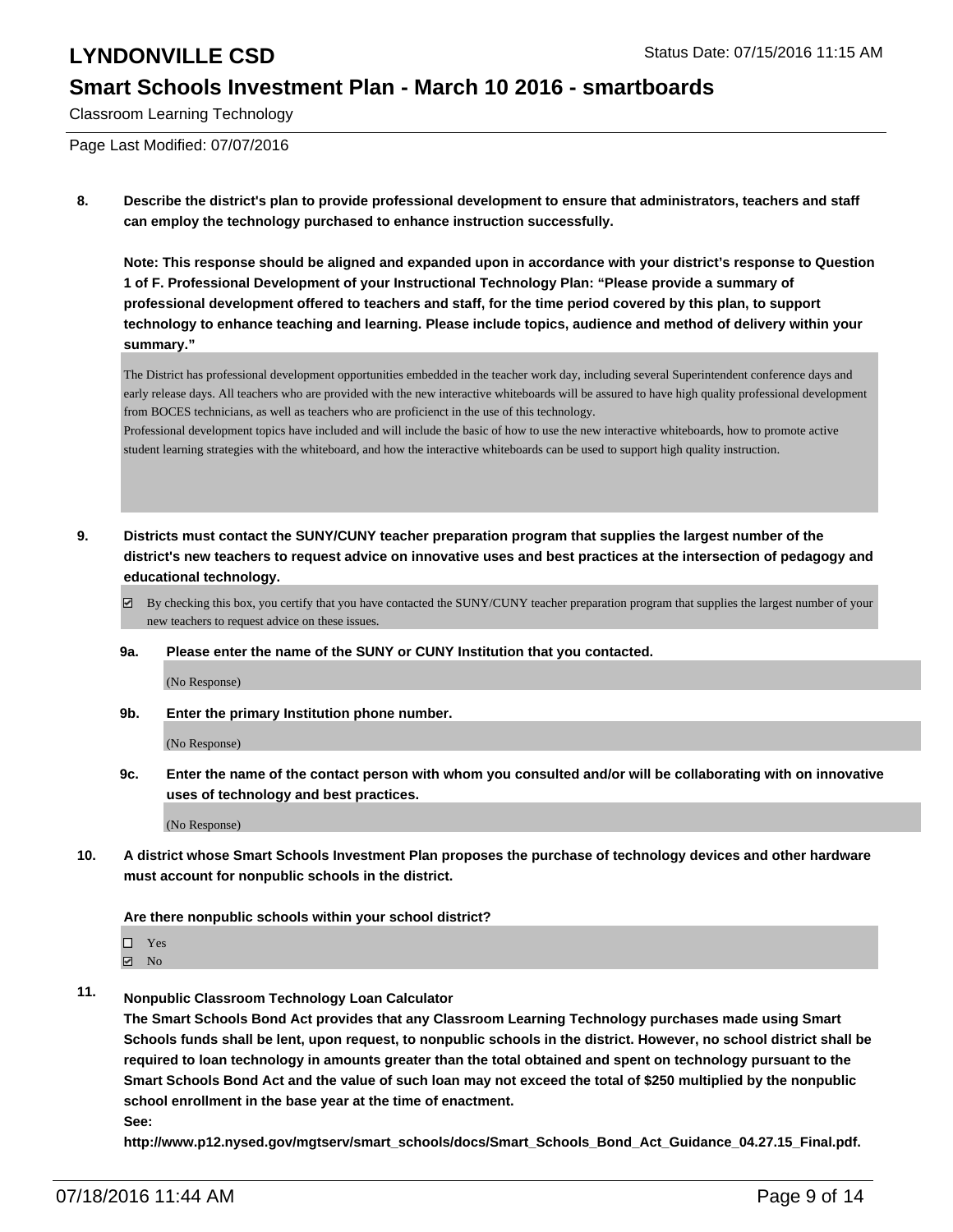#### **Smart Schools Investment Plan - March 10 2016 - smartboards**

Classroom Learning Technology

Page Last Modified: 07/07/2016

**8. Describe the district's plan to provide professional development to ensure that administrators, teachers and staff can employ the technology purchased to enhance instruction successfully.**

**Note: This response should be aligned and expanded upon in accordance with your district's response to Question 1 of F. Professional Development of your Instructional Technology Plan: "Please provide a summary of professional development offered to teachers and staff, for the time period covered by this plan, to support technology to enhance teaching and learning. Please include topics, audience and method of delivery within your summary."**

The District has professional development opportunities embedded in the teacher work day, including several Superintendent conference days and early release days. All teachers who are provided with the new interactive whiteboards will be assured to have high quality professional development from BOCES technicians, as well as teachers who are proficienct in the use of this technology.

Professional development topics have included and will include the basic of how to use the new interactive whiteboards, how to promote active student learning strategies with the whiteboard, and how the interactive whiteboards can be used to support high quality instruction.

- **9. Districts must contact the SUNY/CUNY teacher preparation program that supplies the largest number of the district's new teachers to request advice on innovative uses and best practices at the intersection of pedagogy and educational technology.**
	- $\boxtimes$  By checking this box, you certify that you have contacted the SUNY/CUNY teacher preparation program that supplies the largest number of your new teachers to request advice on these issues.
	- **9a. Please enter the name of the SUNY or CUNY Institution that you contacted.**

(No Response)

**9b. Enter the primary Institution phone number.**

(No Response)

**9c. Enter the name of the contact person with whom you consulted and/or will be collaborating with on innovative uses of technology and best practices.**

(No Response)

**10. A district whose Smart Schools Investment Plan proposes the purchase of technology devices and other hardware must account for nonpublic schools in the district.**

#### **Are there nonpublic schools within your school district?**

 $\Box$  Yes **☑** No

**11. Nonpublic Classroom Technology Loan Calculator**

**The Smart Schools Bond Act provides that any Classroom Learning Technology purchases made using Smart Schools funds shall be lent, upon request, to nonpublic schools in the district. However, no school district shall be required to loan technology in amounts greater than the total obtained and spent on technology pursuant to the Smart Schools Bond Act and the value of such loan may not exceed the total of \$250 multiplied by the nonpublic school enrollment in the base year at the time of enactment.**

**See:**

**http://www.p12.nysed.gov/mgtserv/smart\_schools/docs/Smart\_Schools\_Bond\_Act\_Guidance\_04.27.15\_Final.pdf.**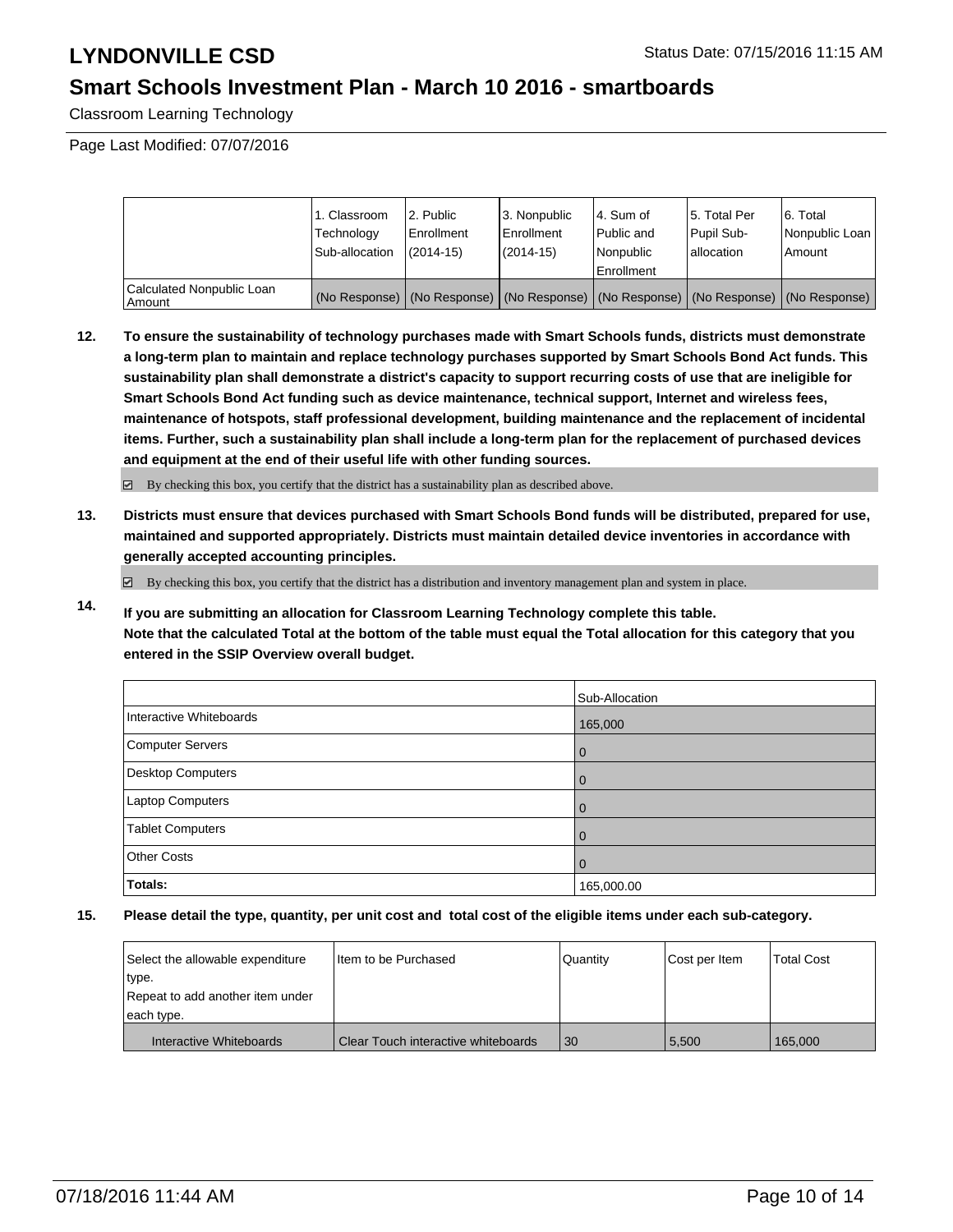#### **Smart Schools Investment Plan - March 10 2016 - smartboards**

Classroom Learning Technology

Page Last Modified: 07/07/2016

|                                     | 1. Classroom<br>Technology<br>Sub-allocation | 2. Public<br>Enrollment<br>$(2014 - 15)$ | 3. Nonpublic<br><b>Enrollment</b><br>(2014-15) | l 4. Sum of<br>Public and<br>Nonpublic<br><b>Enrollment</b>                                   | 15. Total Per<br>Pupil Sub-<br>Iallocation | 6. Total<br>Nonpublic Loan  <br>Amount |
|-------------------------------------|----------------------------------------------|------------------------------------------|------------------------------------------------|-----------------------------------------------------------------------------------------------|--------------------------------------------|----------------------------------------|
| Calculated Nonpublic Loan<br>Amount |                                              |                                          |                                                | (No Response)   (No Response)   (No Response)   (No Response)   (No Response)   (No Response) |                                            |                                        |

**12. To ensure the sustainability of technology purchases made with Smart Schools funds, districts must demonstrate a long-term plan to maintain and replace technology purchases supported by Smart Schools Bond Act funds. This sustainability plan shall demonstrate a district's capacity to support recurring costs of use that are ineligible for Smart Schools Bond Act funding such as device maintenance, technical support, Internet and wireless fees, maintenance of hotspots, staff professional development, building maintenance and the replacement of incidental items. Further, such a sustainability plan shall include a long-term plan for the replacement of purchased devices and equipment at the end of their useful life with other funding sources.**

 $\boxdot$  By checking this box, you certify that the district has a sustainability plan as described above.

**13. Districts must ensure that devices purchased with Smart Schools Bond funds will be distributed, prepared for use, maintained and supported appropriately. Districts must maintain detailed device inventories in accordance with generally accepted accounting principles.**

By checking this box, you certify that the district has a distribution and inventory management plan and system in place.

**14. If you are submitting an allocation for Classroom Learning Technology complete this table. Note that the calculated Total at the bottom of the table must equal the Total allocation for this category that you entered in the SSIP Overview overall budget.**

|                         | Sub-Allocation |
|-------------------------|----------------|
| Interactive Whiteboards | 165,000        |
| Computer Servers        | l 0            |
| Desktop Computers       | l 0            |
| Laptop Computers        | $\Omega$       |
| <b>Tablet Computers</b> | l 0            |
| <b>Other Costs</b>      | l 0            |
| Totals:                 | 165,000.00     |

| Select the allowable expenditure | Iltem to be Purchased               | Quantity | Cost per Item | <b>Total Cost</b> |
|----------------------------------|-------------------------------------|----------|---------------|-------------------|
| type.                            |                                     |          |               |                   |
| Repeat to add another item under |                                     |          |               |                   |
| each type.                       |                                     |          |               |                   |
| Interactive Whiteboards          | Clear Touch interactive whiteboards | 30       | 5,500         | 165,000           |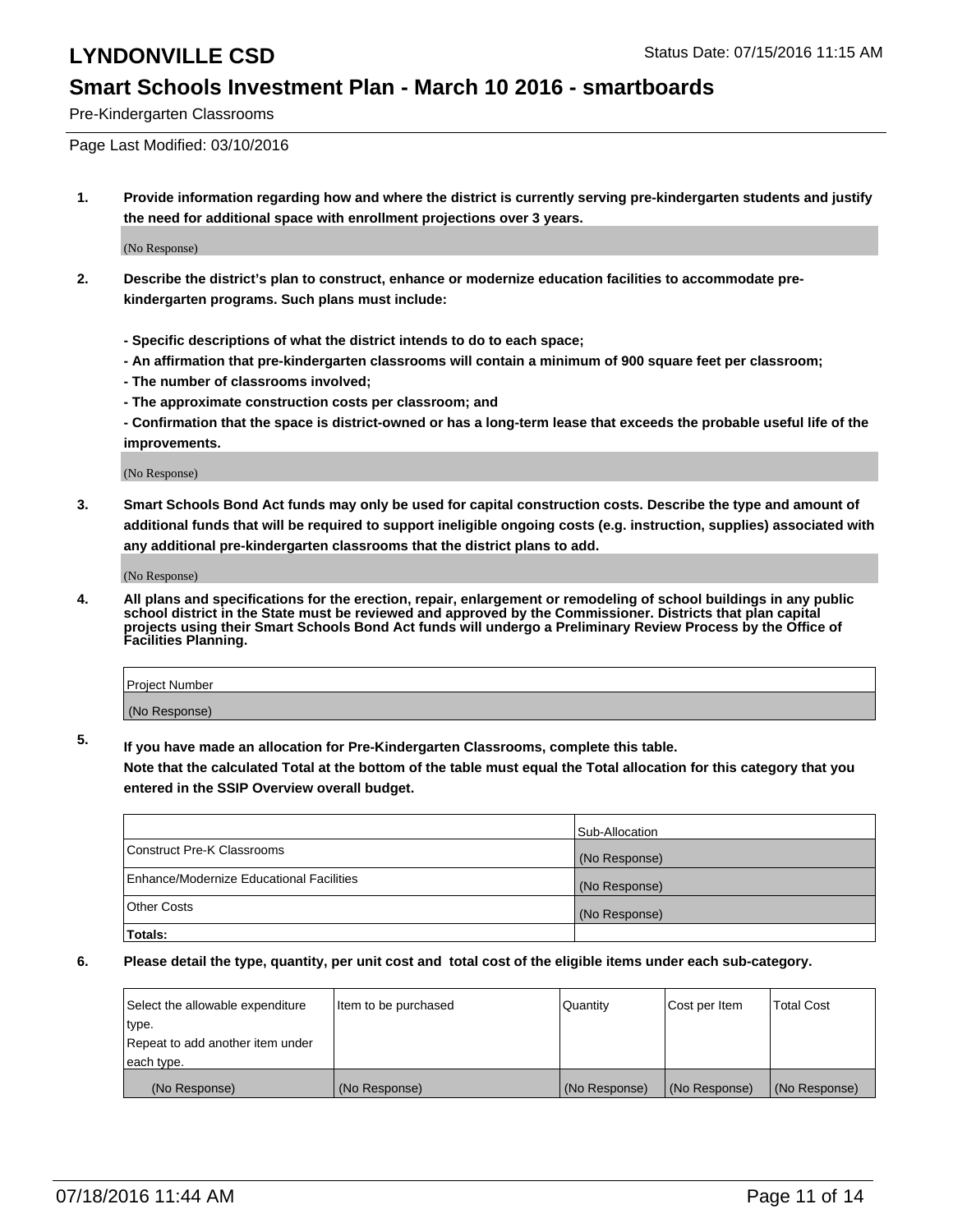#### **Smart Schools Investment Plan - March 10 2016 - smartboards**

Pre-Kindergarten Classrooms

Page Last Modified: 03/10/2016

**1. Provide information regarding how and where the district is currently serving pre-kindergarten students and justify the need for additional space with enrollment projections over 3 years.**

(No Response)

- **2. Describe the district's plan to construct, enhance or modernize education facilities to accommodate prekindergarten programs. Such plans must include:**
	- **Specific descriptions of what the district intends to do to each space;**
	- **An affirmation that pre-kindergarten classrooms will contain a minimum of 900 square feet per classroom;**
	- **The number of classrooms involved;**
	- **The approximate construction costs per classroom; and**
	- **Confirmation that the space is district-owned or has a long-term lease that exceeds the probable useful life of the improvements.**

(No Response)

**3. Smart Schools Bond Act funds may only be used for capital construction costs. Describe the type and amount of additional funds that will be required to support ineligible ongoing costs (e.g. instruction, supplies) associated with any additional pre-kindergarten classrooms that the district plans to add.**

(No Response)

**4. All plans and specifications for the erection, repair, enlargement or remodeling of school buildings in any public school district in the State must be reviewed and approved by the Commissioner. Districts that plan capital projects using their Smart Schools Bond Act funds will undergo a Preliminary Review Process by the Office of Facilities Planning.**

| Project Number |  |
|----------------|--|
| (No Response)  |  |

**5. If you have made an allocation for Pre-Kindergarten Classrooms, complete this table.**

**Note that the calculated Total at the bottom of the table must equal the Total allocation for this category that you entered in the SSIP Overview overall budget.**

|                                          | Sub-Allocation |
|------------------------------------------|----------------|
| Construct Pre-K Classrooms               | (No Response)  |
| Enhance/Modernize Educational Facilities | (No Response)  |
| <b>Other Costs</b>                       | (No Response)  |
| Totals:                                  |                |

| Select the allowable expenditure | litem to be purchased | Quantity      | Cost per Item | <b>Total Cost</b> |
|----------------------------------|-----------------------|---------------|---------------|-------------------|
| type.                            |                       |               |               |                   |
| Repeat to add another item under |                       |               |               |                   |
| each type.                       |                       |               |               |                   |
| (No Response)                    | (No Response)         | (No Response) | (No Response) | (No Response)     |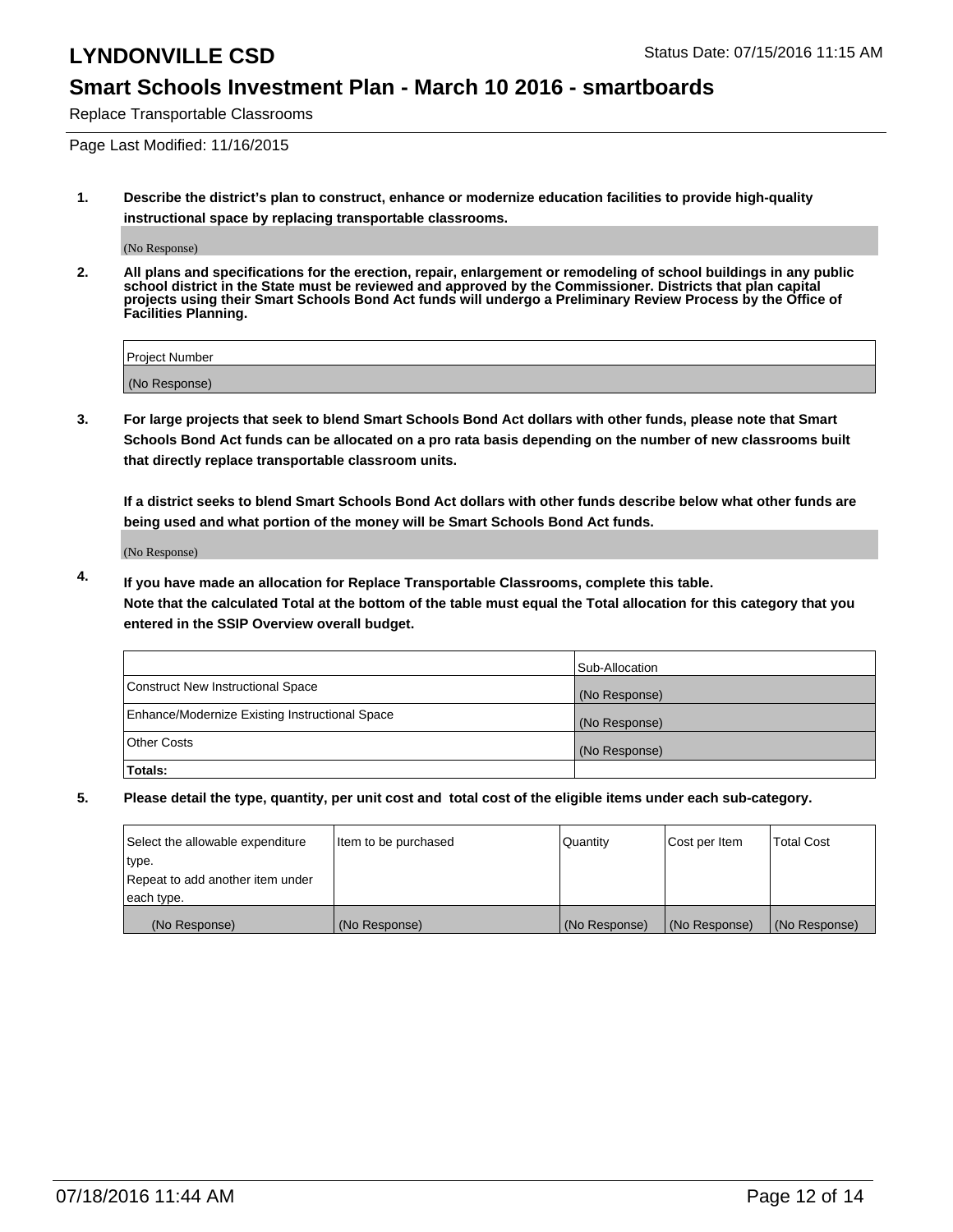#### **Smart Schools Investment Plan - March 10 2016 - smartboards**

Replace Transportable Classrooms

Page Last Modified: 11/16/2015

**1. Describe the district's plan to construct, enhance or modernize education facilities to provide high-quality instructional space by replacing transportable classrooms.**

(No Response)

**2. All plans and specifications for the erection, repair, enlargement or remodeling of school buildings in any public school district in the State must be reviewed and approved by the Commissioner. Districts that plan capital projects using their Smart Schools Bond Act funds will undergo a Preliminary Review Process by the Office of Facilities Planning.**

| Project Number |  |
|----------------|--|
| (No Response)  |  |

**3. For large projects that seek to blend Smart Schools Bond Act dollars with other funds, please note that Smart Schools Bond Act funds can be allocated on a pro rata basis depending on the number of new classrooms built that directly replace transportable classroom units.**

**If a district seeks to blend Smart Schools Bond Act dollars with other funds describe below what other funds are being used and what portion of the money will be Smart Schools Bond Act funds.**

(No Response)

**4. If you have made an allocation for Replace Transportable Classrooms, complete this table. Note that the calculated Total at the bottom of the table must equal the Total allocation for this category that you entered in the SSIP Overview overall budget.**

|                                                | Sub-Allocation |
|------------------------------------------------|----------------|
| Construct New Instructional Space              | (No Response)  |
| Enhance/Modernize Existing Instructional Space | (No Response)  |
| Other Costs                                    | (No Response)  |
| Totals:                                        |                |

| Select the allowable expenditure | Item to be purchased | Quantity      | Cost per Item | <b>Total Cost</b> |
|----------------------------------|----------------------|---------------|---------------|-------------------|
| type.                            |                      |               |               |                   |
| Repeat to add another item under |                      |               |               |                   |
| each type.                       |                      |               |               |                   |
| (No Response)                    | (No Response)        | (No Response) | (No Response) | (No Response)     |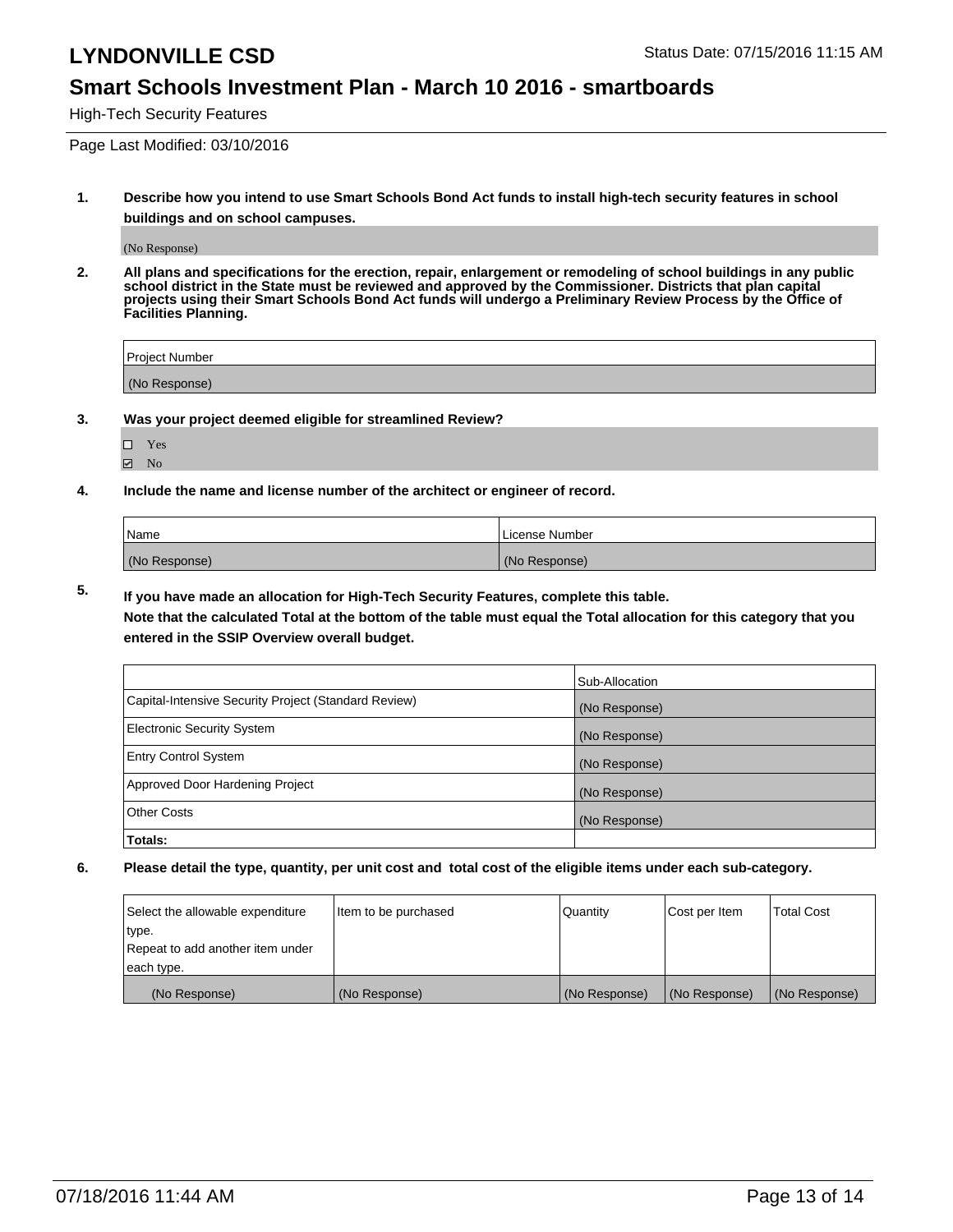#### **Smart Schools Investment Plan - March 10 2016 - smartboards**

High-Tech Security Features

Page Last Modified: 03/10/2016

**1. Describe how you intend to use Smart Schools Bond Act funds to install high-tech security features in school buildings and on school campuses.**

(No Response)

**2. All plans and specifications for the erection, repair, enlargement or remodeling of school buildings in any public school district in the State must be reviewed and approved by the Commissioner. Districts that plan capital projects using their Smart Schools Bond Act funds will undergo a Preliminary Review Process by the Office of Facilities Planning.** 

| <b>Project Number</b> |  |
|-----------------------|--|
| (No Response)         |  |

**3. Was your project deemed eligible for streamlined Review?**

Yes  $\blacksquare$  No

**4. Include the name and license number of the architect or engineer of record.**

| Name          | License Number |
|---------------|----------------|
| (No Response) | (No Response)  |

**5. If you have made an allocation for High-Tech Security Features, complete this table.**

**Note that the calculated Total at the bottom of the table must equal the Total allocation for this category that you entered in the SSIP Overview overall budget.**

|                                                      | Sub-Allocation |
|------------------------------------------------------|----------------|
| Capital-Intensive Security Project (Standard Review) | (No Response)  |
| <b>Electronic Security System</b>                    | (No Response)  |
| <b>Entry Control System</b>                          | (No Response)  |
| Approved Door Hardening Project                      | (No Response)  |
| <b>Other Costs</b>                                   | (No Response)  |
| Totals:                                              |                |

| Select the allowable expenditure | litem to be purchased | Quantity      | Cost per Item | <b>Total Cost</b> |
|----------------------------------|-----------------------|---------------|---------------|-------------------|
| type.                            |                       |               |               |                   |
| Repeat to add another item under |                       |               |               |                   |
| each type.                       |                       |               |               |                   |
| (No Response)                    | (No Response)         | (No Response) | (No Response) | (No Response)     |